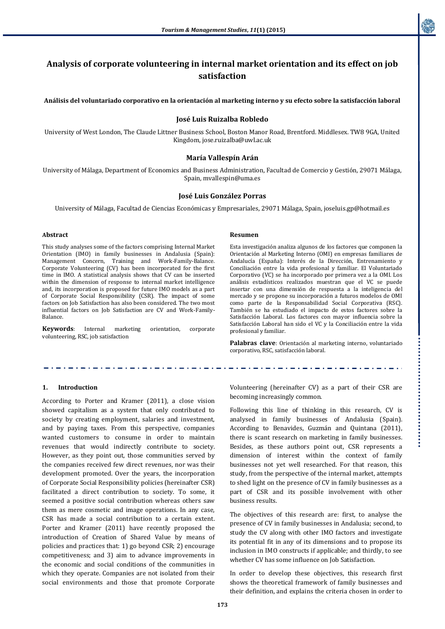

# **Analysis of corporate volunteering in internal market orientation and its effect on job satisfaction**

**Análisis del voluntariado corporativo en la orientación al marketing interno y su efecto sobre la satisfacción laboral**

#### **José Luis Ruizalba Robledo**

University of West London, The Claude Littner Business School, Boston Manor Road, Brentford. Middlesex. TW8 9GA, United Kingdom[, jose.ruizalba@uwl.ac.uk](mailto:jose.ruizalba@uwl.ac.uk)

#### **María Vallespín Arán**

University of Málaga, Department of Economics and Business Administration, Facultad de Comercio y Gestión, 29071 Málaga, Spain, [mvallespin@uma.es](mailto:mvallespin@uma.es)

# **José Luis González Porras**

University of Málaga*,* Facultad de Ciencias Económicas y Empresariales, 29071 Málaga, Spain, [joseluis.gp@hotmail.es](mailto:joseluis.gp@hotmail.es)

#### **Abstract**

This study analyses some of the factors comprising Internal Market Orientation (IMO) in family businesses in Andalusia (Spain): Management Concern, Training and Work-Family-Balance. Corporate Volunteering (CV) has been incorporated for the first time in IMO. A statistical analysis shows that CV can be inserted within the dimension of response to internal market intelligence and, its incorporation is proposed for future IMO models as a part of Corporate Social Responsibility (CSR). The impact of some factors on Job Satisfaction has also been considered. The two most influential factors on Job Satisfaction are CV and Work-Family-Balance.

**Keywords**: Internal marketing orientation, corporate volunteering, RSC, job satisfaction

#### **Resumen**

Esta investigación analiza algunos de los factores que componen la Orientación al Marketing Interno (OMI) en empresas familiares de Andalucía (España): Interés de la Dirección, Entrenamiento y Conciliación entre la vida profesional y familiar. El Voluntariado Corporativo (VC) se ha incorporado por primera vez a la OMI. Los análisis estadísticos realizados muestran que el VC se puede insertar con una dimensión de respuesta a la inteligencia del mercado y se propone su incorporación a futuros modelos de OMI como parte de la Responsabilidad Social Corporativa (RSC). También se ha estudiado el impacto de estos factores sobre la Satisfacción Laboral. Los factores con mayor influencia sobre la Satisfacción Laboral han sido el VC y la Conciliación entre la vida profesional y familiar.

**Palabras clave**: Orientación al marketing interno, voluntariado corporativo, RSC, satisfacción laboral.

### **1. Introduction**

According to Porter and Kramer (2011), a close vision showed capitalism as a system that only contributed to society by creating employment, salaries and investment, and by paying taxes. From this perspective, companies wanted customers to consume in order to maintain revenues that would indirectly contribute to society. However, as they point out, those communities served by the companies received few direct revenues, nor was their development promoted. Over the years, the incorporation of Corporate Social Responsibility policies (hereinafter CSR) facilitated a direct contribution to society. To some, it seemed a positive social contribution whereas others saw them as mere cosmetic and image operations. In any case, CSR has made a social contribution to a certain extent. Porter and Kramer (2011) have recently proposed the introduction of Creation of Shared Value by means of policies and practices that: 1) go beyond CSR; 2) encourage competitiveness; and 3) aim to advance improvements in the economic and social conditions of the communities in which they operate. Companies are not isolated from their social environments and those that promote Corporate

Volunteering (hereinafter CV) as a part of their CSR are becoming increasingly common.

Following this line of thinking in this research, CV is analysed in family businesses of Andalusia (Spain). According to Benavides, Guzmán and Quintana (2011), there is scant research on marketing in family businesses. Besides, as these authors point out, CSR represents a dimension of interest within the context of family businesses not yet well researched. For that reason, this study, from the perspective of the internal market, attempts to shed light on the presence of CV in family businesses as a part of CSR and its possible involvement with other business results.

The objectives of this research are: first, to analyse the presence of CV in family businesses in Andalusia; second, to study the CV along with other IMO factors and investigate its potential fit in any of its dimensions and to propose its inclusion in IMO constructs if applicable; and thirdly, to see whether CV has some influence on Job Satisfaction.

In order to develop these objectives, this research first shows the theoretical framework of family businesses and their definition, and explains the criteria chosen in order to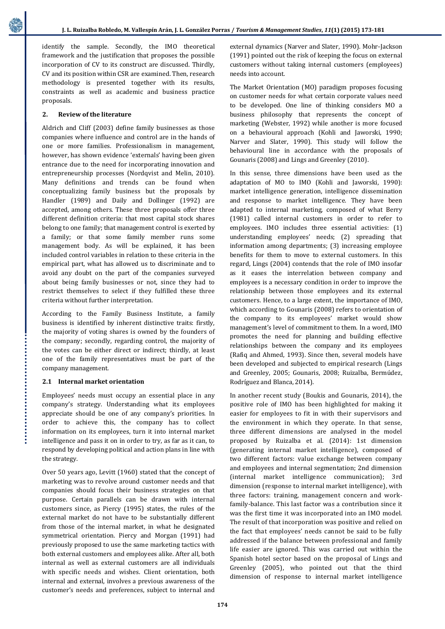identify the sample. Secondly, the IMO theoretical framework and the justification that proposes the possible incorporation of CV to its construct are discussed. Thirdly, CV and its position within CSR are examined. Then, research methodology is presented together with its results, constraints as well as academic and business practice proposals.

### **2. Review of the literature**

Aldrich and Cliff (2003) define family businesses as those companies where influence and control are in the hands of one or more families. Professionalism in management, however, has shown evidence 'externals' having been given entrance due to the need for incorporating innovation and entrepreneurship processes (Nordqvist and Melin, 2010). Many definitions and trends can be found when conceptualizing family business but the proposals by Handler (1989) and Daily and Dollinger (1992) are accepted, among others. These three proposals offer three different definition criteria: that most capital stock shares belong to one family; that management control is exerted by a family; or that some family member runs some management body. As will be explained, it has been included control variables in relation to these criteria in the empirical part, what has allowed us to discriminate and to avoid any doubt on the part of the companies surveyed about being family businesses or not, since they had to restrict themselves to select if they fulfilled these three criteria without further interpretation.

According to the Family Business Institute, a family business is identified by inherent distinctive traits: firstly, the majority of voting shares is owned by the founders of the company; secondly, regarding control, the majority of the votes can be either direct or indirect; thirdly, at least one of the family representatives must be part of the company management.

### **2.1 Internal market orientation**

Employees' needs must occupy an essential place in any company's strategy. Understanding what its employees appreciate should be one of any company's priorities. In order to achieve this, the company has to collect information on its employees, turn it into internal market intelligence and pass it on in order to try, as far as it can, to respond by developing political and action plans in line with the strategy.

Over 50 years ago, Levitt (1960) stated that the concept of marketing was to revolve around customer needs and that companies should focus their business strategies on that purpose. Certain parallels can be drawn with internal customers since, as Piercy (1995) states, the rules of the external market do not have to be substantially different from those of the internal market, in what he designated symmetrical orientation. Piercy and Morgan (1991) had previously proposed to use the same marketing tactics with both external customers and employees alike. After all, both internal as well as external customers are all individuals with specific needs and wishes. Client orientation, both internal and external, involves a previous awareness of the customer's needs and preferences, subject to internal and

external dynamics (Narver and Slater, 1990). Mohr-Jackson (1991) pointed out the risk of keeping the focus on external customers without taking internal customers (employees) needs into account.

The Market Orientation (MO) paradigm proposes focusing on customer needs for what certain corporate values need to be developed. One line of thinking considers MO a business philosophy that represents the concept of marketing (Webster, 1992) while another is more focused on a behavioural approach (Kohli and Jaworski, 1990; Narver and Slater, 1990). This study will follow the behavioural line in accordance with the proposals of Gounaris (2008) and Lings and Greenley (2010).

In this sense, three dimensions have been used as the adaptation of MO to IMO (Kohli and Jaworski, 1990): market intelligence generation, intelligence dissemination and response to market intelligence. They have been adapted to internal marketing, composed of what Berry (1981) called internal customers in order to refer to employees. IMO includes three essential activities: (1) understanding employees' needs; (2) spreading that information among departments; (3) increasing employee benefits for them to move to external customers. In this regard, Lings (2004) contends that the role of IMO insofar as it eases the interrelation between company and employees is a necessary condition in order to improve the relationship between those employees and its external customers. Hence, to a large extent, the importance of IMO, which according to Gounaris (2008) refers to orientation of the company to its employees' market would show management's level of commitment to them. In a word, IMO promotes the need for planning and building effective relationships between the company and its employees (Rafiq and Ahmed, 1993). Since then, several models have been developed and subjected to empirical research (Lings and Greenley, 2005; Gounaris, 2008; Ruizalba, Bermúdez, Rodríguez and Blanca, 2014).

In another recent study (Boukis and Gounaris, 2014), the positive role of IMO has been highlighted for making it easier for employees to fit in with their supervisors and the environment in which they operate. In that sense, three different dimensions are analysed in the model proposed by Ruizalba et al. (2014): 1st dimension (generating internal market intelligence), composed of two different factors: value exchange between company and employees and internal segmentation; 2nd dimension (internal market intelligence communication); 3rd dimension (response to internal market intelligence), with three factors: training, management concern and workfamily-balance. This last factor was a contribution since it was the first time it was incorporated into an IMO model. The result of that incorporation was positive and relied on the fact that employees' needs cannot be said to be fully addressed if the balance between professional and family life easier are ignored. This was carried out within the Spanish hotel sector based on the proposal of Lings and Greenley (2005), who pointed out that the third dimension of response to internal market intelligence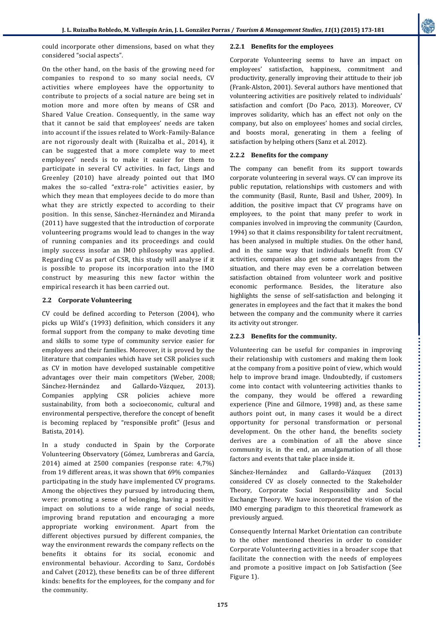..................................

could incorporate other dimensions, based on what they considered "social aspects".

On the other hand, on the basis of the growing need for companies to respond to so many social needs, CV activities where employees have the opportunity to contribute to projects of a social nature are being set in motion more and more often by means of CSR and Shared Value Creation. Consequently, in the same way that it cannot be said that employees' needs are taken into account if the issues related to Work-Family-Balance are not rigorously dealt with (Ruizalba et al., 2014), it can be suggested that a more complete way to meet employees' needs is to make it easier for them to participate in several CV activities. In fact, Lings and Greenley (2010) have already pointed out that IMO makes the so-called "extra-role" activities easier, by which they mean that employees decide to do more than what they are strictly expected to according to their position. In this sense, Sánchez-Hernández and Miranda (2011) have suggested that the introduction of corporate volunteering programs would lead to changes in the way of running companies and its proceedings and could imply success insofar an IMO philosophy was applied. Regarding CV as part of CSR, this study will analyse if it is possible to propose its incorporation into the IMO construct by measuring this new factor within the empirical research it has been carried out.

### **2.2 Corporate Volunteering**

CV could be defined according to Peterson (2004), who picks up Wild's (1993) definition, which considers it any formal support from the company to make devoting time and skills to some type of community service easier for employees and their families. Moreover, it is proved by the literature that companies which have set CSR policies such as CV in motion have developed sustainable competitive advantages over their main competitors (Weber, 2008; Sánchez-Hernández and Gallardo-Vázquez, 2013). Companies applying CSR policies achieve more sustainability, from both a socioeconomic, cultural and environmental perspective, therefore the concept of benefit is becoming replaced by "responsible profit" (Jesus and Batista, 2014).

In a study conducted in Spain by the Corporate Volunteering Observatory (Gómez, Lumbreras and García, 2014) aimed at 2500 companies (response rate: 4,7%) from 19 different areas, it was shown that 69% companies participating in the study have implemented CV programs. Among the objectives they pursued by introducing them, were: promoting a sense of belonging, having a positive impact on solutions to a wide range of social needs, improving brand reputation and encouraging a more appropriate working environment. Apart from the different objectives pursued by different companies, the way the environment rewards the company reflects on the benefits it obtains for its social, economic and environmental behaviour. According to Sanz, Cordobés and Calvet (2012), these benefits can be of three different kinds: benefits for the employees, for the company and for the community.

### **2.2.1 Benefits for the employees**

Corporate Volunteering seems to have an impact on employees' satisfaction, happiness, commitment and productivity, generally improving their attitude to their job (Frank-Alston, 2001). Several authors have mentioned that volunteering activities are positively related to individuals' satisfaction and comfort (Do Paco, 2013). Moreover, CV improves solidarity, which has an effect not only on the company, but also on employees' homes and social circles, and boosts moral, generating in them a feeling of satisfaction by helping others (Sanz et al. 2012).

## **2.2.2 Benefits for the company**

The company can benefit from its support towards corporate volunteering in several ways. CV can improve its public reputation, relationships with customers and with the community (Basil, Runte, Basil and Usher, 2009). In addition, the positive impact that CV programs have on employees, to the point that many prefer to work in companies involved in improving the community (Caurdon, 1994) so that it claims responsibility for talent recruitment, has been analysed in multiple studies. On the other hand, and in the same way that individuals benefit from CV activities, companies also get some advantages from the situation, and there may even be a correlation between satisfaction obtained from volunteer work and positive economic performance. Besides, the literature also highlights the sense of self-satisfaction and belonging it generates in employees and the fact that it makes the bond between the company and the community where it carries its activity out stronger.

### **2.2.3 Benefits for the community.**

Volunteering can be useful for companies in improving their relationship with customers and making them look at the company from a positive point of view, which would help to improve brand image. Undoubtedly, if customers come into contact with volunteering activities thanks to the company, they would be offered a rewarding experience (Pine and Gilmore, 1998) and, as these same authors point out, in many cases it would be a direct opportunity for personal transformation or personal development. On the other hand, the benefits society derives are a combination of all the above since community is, in the end, an amalgamation of all those factors and events that take place inside it.

Sánchez-Hernández and Gallardo-Vázquez (2013) considered CV as closely connected to the Stakeholder Theory, Corporate Social Responsibility and Social Exchange Theory. We have incorporated the vision of the IMO emerging paradigm to this theoretical framework as previously argued.

Consequently Internal Market Orientation can contribute to the other mentioned theories in order to consider Corporate Volunteering activities in a broader scope that facilitate the connection with the needs of employees and promote a positive impact on Job Satisfaction (See Figure 1).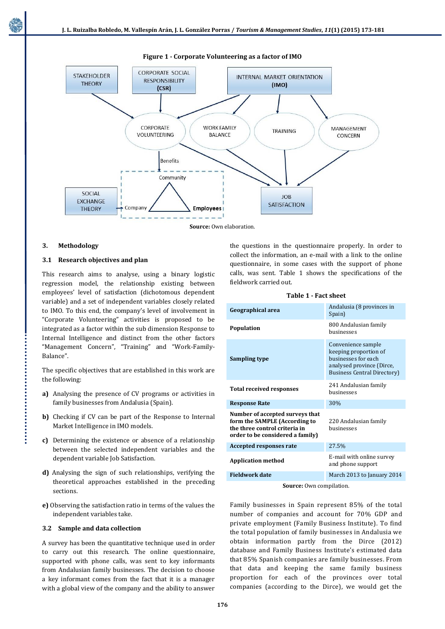**Figure 1 - Corporate Volunteering as a factor of IMO**



**Source:** Own elaboration.

# **3. Methodology**

## **3.1 Research objectives and plan**

This research aims to analyse, using a binary logistic regression model, the relationship existing between employees' level of satisfaction (dichotomous dependent variable) and a set of independent variables closely related to IMO. To this end, the company's level of involvement in "Corporate Volunteering" activities is proposed to be integrated as a factor within the sub dimension Response to Internal Intelligence and distinct from the other factors "Management Concern", "Training" and "Work-Family-Balance".

The specific objectives that are established in this work are the following:

- **a)** Analysing the presence of CV programs or activities in family businesses from Andalusia (Spain).
- **b)** Checking if CV can be part of the Response to Internal Market Intelligence in IMO models.
- **c)** Determining the existence or absence of a relationship between the selected independent variables and the dependent variable Job Satisfaction.
- **d)** Analysing the sign of such relationships, verifying the theoretical approaches established in the preceding sections.
- **e)** Observing the satisfaction ratio in terms of the values the independent variables take.

# **3.2 Sample and data collection**

A survey has been the quantitative technique used in order to carry out this research. The online questionnaire, supported with phone calls, was sent to key informants from Andalusian family businesses. The decision to choose a key informant comes from the fact that it is a manager with a global view of the company and the ability to answer

the questions in the questionnaire properly. In order to collect the information, an e-mail with a link to the online questionnaire, in some cases with the support of phone calls, was sent. Table 1 shows the specifications of the fieldwork carried out.

| Table 1 - Fact sheet |  |
|----------------------|--|
|----------------------|--|

| Geographical area                                                                                                                     | Andalusia (8 provinces in<br>Spain)                                                                                                    |  |  |
|---------------------------------------------------------------------------------------------------------------------------------------|----------------------------------------------------------------------------------------------------------------------------------------|--|--|
| <b>Population</b>                                                                                                                     | 800 Andalusian family<br>husinesses                                                                                                    |  |  |
| Sampling type                                                                                                                         | Convenience sample<br>keeping proportion of<br>businesses for each<br>analysed province (Dirce,<br><b>Business Central Directory</b> ) |  |  |
| <b>Total received responses</b>                                                                                                       | 241 Andalusian family<br>businesses                                                                                                    |  |  |
| <b>Response Rate</b>                                                                                                                  | 30%                                                                                                                                    |  |  |
| Number of accepted surveys that<br>form the SAMPLE (According to<br>the three control criteria in<br>order to be considered a family) | 220 Andalusian family<br>husinesses                                                                                                    |  |  |
| <b>Accepted responses rate</b>                                                                                                        | 27.5%                                                                                                                                  |  |  |
| <b>Application method</b>                                                                                                             | E-mail with online survey<br>and phone support                                                                                         |  |  |
| <b>Fieldwork date</b>                                                                                                                 | March 2013 to January 2014                                                                                                             |  |  |

Source: Own compilation.

Family businesses in Spain represent 85% of the total number of companies and account for 70% GDP and private employment (Family Business Institute). To find the total population of family businesses in Andalusia we obtain information partly from the Dirce (2012) database and Family Business Institute's estimated data that 85% Spanish companies are family businesses. From that data and keeping the same family business proportion for each of the provinces over total companies (according to the Dirce), we would get the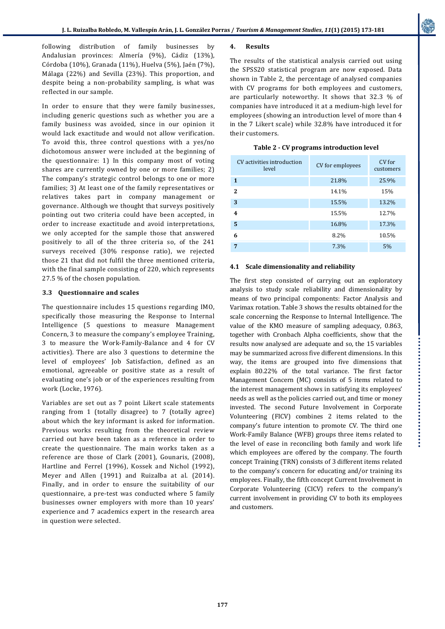following distribution of family businesses by Andalusian provinces: Almería (9%), Cádiz (13%), Córdoba (10%), Granada (11%), Huelva (5%), Jaén (7%), Málaga (22%) and Sevilla (23%). This proportion, and despite being a non-probability sampling, is what was reflected in our sample.

In order to ensure that they were family businesses, including generic questions such as whether you are a family business was avoided, since in our opinion it would lack exactitude and would not allow verification. To avoid this, three control questions with a yes/no dichotomous answer were included at the beginning of the questionnaire: 1) In this company most of voting shares are currently owned by one or more families; 2) The company's strategic control belongs to one or more families; 3) At least one of the family representatives or relatives takes part in company management or governance. Although we thought that surveys positively pointing out two criteria could have been accepted, in order to increase exactitude and avoid interpretations, we only accepted for the sample those that answered positively to all of the three criteria so, of the 241 surveys received (30% response ratio), we rejected those 21 that did not fulfil the three mentioned criteria, with the final sample consisting of 220, which represents 27.5 % of the chosen population.

### **3.3 Questionnaire and scales**

The questionnaire includes 15 questions regarding IMO, specifically those measuring the Response to Internal Intelligence (5 questions to measure Management Concern, 3 to measure the company's employee Training, 3 to measure the Work-Family-Balance and 4 for CV activities). There are also 3 questions to determine the level of employees' Job Satisfaction, defined as an emotional, agreeable or positive state as a result of evaluating one's job or of the experiences resulting from work (Locke, 1976).

Variables are set out as 7 point Likert scale statements ranging from 1 (totally disagree) to 7 (totally agree) about which the key informant is asked for information. Previous works resulting from the theoretical review carried out have been taken as a reference in order to create the questionnaire. The main works taken as a reference are those of Clark (2001), Gounaris, (2008), Hartline and Ferrel (1996), Kossek and Nichol (1992), Meyer and Allen (1991) and Ruizalba at al. (2014). Finally, and in order to ensure the suitability of our questionnaire, a pre-test was conducted where 5 family businesses owner employers with more than 10 years' experience and 7 academics expert in the research area in question were selected.

### **4. Results**

The results of the statistical analysis carried out using the SPSS20 statistical program are now exposed. Data shown in Table 2, the percentage of analysed companies with CV programs for both employees and customers, are particularly noteworthy. It shows that 32.3 % of companies have introduced it at a medium-high level for employees (showing an introduction level of more than 4 in the 7 Likert scale) while 32.8% have introduced it for their customers.

| CV activities introduction<br>level | CV for employees | CV for<br>customers |  |
|-------------------------------------|------------------|---------------------|--|
| $\mathbf{1}$                        | 21.8%            | 25.9%               |  |
| 2                                   | 14.1%            | 15%                 |  |
| 3                                   | 15.5%            | 13.2%               |  |
| 4                                   | 15.5%            | 12.7%               |  |
| 5                                   | 16.8%            | 17.3%               |  |
| 6                                   | 8.2%             | 10.5%               |  |
| 7                                   | 7.3%             | 5%                  |  |

### **4.1 Scale dimensionality and reliability**

The first step consisted of carrying out an exploratory analysis to study scale reliability and dimensionality by means of two principal components: Factor Analysis and Varimax rotation. Table 3 shows the results obtained for the scale concerning the Response to Internal Intelligence. The value of the KMO measure of sampling adequacy, 0.863, together with Cronbach Alpha coefficients, show that the results now analysed are adequate and so, the 15 variables may be summarized across five different dimensions. In this way, the items are grouped into five dimensions that explain 80.22% of the total variance. The first factor Management Concern (MC) consists of 5 items related to the interest management shows in satisfying its employees' needs as well as the policies carried out, and time or money invested. The second Future Involvement in Corporate Volunteering (FICV) combines 2 items related to the company's future intention to promote CV. The third one Work-Family Balance (WFB) groups three items related to the level of ease in reconciling both family and work life which employees are offered by the company. The fourth concept Training (TRN) consists of 3 different items related to the company's concern for educating and/or training its employees. Finally, the fifth concept Current Involvement in Corporate Volunteering (CICV) refers to the company's current involvement in providing CV to both its employees and customers.

.................................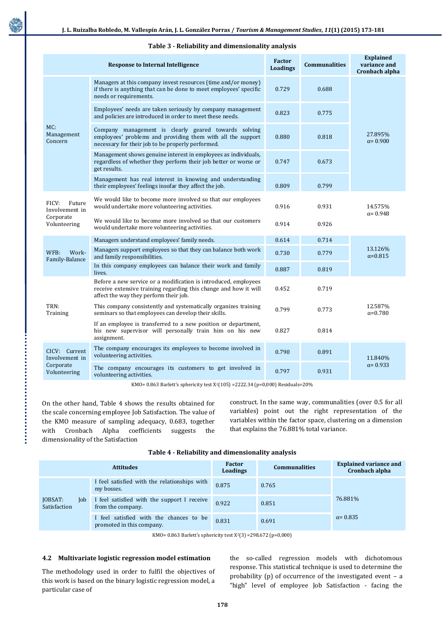|                                                                | <b>Response to Internal Intelligence</b>                                                                                                                                      | <b>Factor</b><br><b>Loadings</b> | <b>Communalities</b> | <b>Explained</b><br>variance and<br>Cronbach alpha |  |
|----------------------------------------------------------------|-------------------------------------------------------------------------------------------------------------------------------------------------------------------------------|----------------------------------|----------------------|----------------------------------------------------|--|
| MC:<br>Management<br>Concern                                   | Managers at this company invest resources (time and/or money)<br>if there is anything that can be done to meet employees' specific<br>needs or requirements.                  | 0.729                            | 0.688                |                                                    |  |
|                                                                | Employees' needs are taken seriously by company management<br>and policies are introduced in order to meet these needs.                                                       | 0.823                            | 0.775                |                                                    |  |
|                                                                | Company management is clearly geared towards solving<br>employees' problems and providing them with all the support<br>necessary for their job to be properly performed.      | 0.880                            | 0.818                | 27.895%<br>$\alpha = 0.900$                        |  |
|                                                                | Management shows genuine interest in employees as individuals,<br>regardless of whether they perform their job better or worse or<br>get results.                             | 0.747                            | 0.673                |                                                    |  |
|                                                                | Management has real interest in knowing and understanding<br>their employees' feelings insofar they affect the job.                                                           | 0.809                            | 0.799                |                                                    |  |
| FICV:<br>Future<br>Involvement in<br>Corporate<br>Volunteering | We would like to become more involved so that our employees<br>would undertake more volunteering activities.                                                                  | 0.916                            | 0.931                | 14.575%<br>$\alpha = 0.948$                        |  |
|                                                                | We would like to become more involved so that our customers<br>would undertake more volunteering activities.                                                                  | 0.914                            | 0.926                |                                                    |  |
|                                                                | Managers understand employees' family needs.                                                                                                                                  | 0.614                            | 0.714                |                                                    |  |
| Work-<br>WFB:<br>Family-Balance                                | Managers support employees so that they can balance both work<br>and family responsibilities.                                                                                 | 0.730                            | 0.779                | 13.126%<br>$\alpha = 0.815$                        |  |
|                                                                | In this company employees can balance their work and family<br>lives.                                                                                                         | 0.887                            | 0.819                |                                                    |  |
| TRN:<br>Training                                               | Before a new service or a modification is introduced, employees<br>receive extensive training regarding this change and how it will<br>affect the way they perform their job. | 0.452                            | 0.719                |                                                    |  |
|                                                                | This company consistently and systematically organizes training<br>seminars so that employees can develop their skills.                                                       | 0.799                            | 0.773                | 12.587%<br>$\alpha = 0.780$                        |  |
|                                                                | If an employee is transferred to a new position or department,<br>his new supervisor will personally train him on his new<br>assignment.                                      | 0.827                            | 0.814                |                                                    |  |
| CICV: Current<br>Involvement in                                | The company encourages its employees to become involved in<br>volunteering activities.                                                                                        | 0.790                            | 0.891                | 11.840%<br>$\alpha = 0.933$                        |  |
| Corporate<br>Volunteering                                      | The company encourages its customers to get involved in<br>volunteering activities.                                                                                           | 0.797                            | 0.931                |                                                    |  |

#### **Table 3 - Reliability and dimensionality analysis**

KMO= 0.863 Barlett's sphericity test X2(105) =2222.34 (p=0,000) Residuals=20%

On the other hand, Table 4 shows the results obtained for the scale concerning employee Job Satisfaction. The value of the KMO measure of sampling adequacy, 0.683, together with Cronbach Alpha coefficients suggests the dimensionality of the Satisfaction

construct. In the same way, communalities (over 0.5 for all variables) point out the right representation of the variables within the factor space, clustering on a dimension that explains the 76.881% total variance.

|                                | <b>Attitudes</b>                                                     | <b>Factor</b><br>Loadings | <b>Communalities</b> | <b>Explained variance and</b><br>Cronbach alpha |
|--------------------------------|----------------------------------------------------------------------|---------------------------|----------------------|-------------------------------------------------|
| JOBSAT:<br>Job<br>Satisfaction | I feel satisfied with the relationships with<br>my bosses.           | 0.875                     | 0.765                |                                                 |
|                                | I feel satisfied with the support I receive<br>from the company.     | 0.922                     | 0.851                | 76.881%                                         |
|                                | I feel satisfied with the chances to be<br>promoted in this company. | 0.831                     | 0.691                | $\alpha = 0.835$                                |

**Table 4 - Reliability and dimensionality analysis**

KMO= 0.863 Barlett's sphericity test X2(3) =298.672 (p=0,000)

#### **4.2 Multivariate logistic regression model estimation**

The methodology used in order to fulfil the objectives of this work is based on the binary logistic regression model, a particular case of

the so-called regression models with dichotomous response. This statistical technique is used to determine the probability (p) of occurrence of the investigated event – a "high" level of employee Job Satisfaction - facing the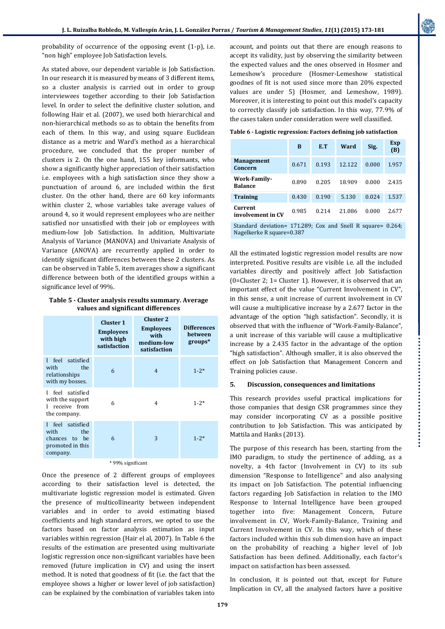................................

probability of occurrence of the opposing event (1-p), i.e. "non high" employee Job Satisfaction levels.

As stated above, our dependent variable is Job Satisfaction. In our research it is measured by means of 3 different items, so a cluster analysis is carried out in order to group interviewees together according to their Job Satisfaction level. In order to select the definitive cluster solution, and following Hair et al. (2007), we used both hierarchical and non-hierarchical methods so as to obtain the benefits from each of them. In this way, and using square Euclidean distance as a metric and Ward's method as a hierarchical procedure, we concluded that the proper number of clusters is 2. On the one hand, 155 key informants, who show a significantly higher appreciation of their satisfaction i.e. employees with a high satisfaction since they show a punctuation of around 6, are included within the first cluster. On the other hand, there are 60 key informants within cluster 2, whose variables take average values of around 4, so it would represent employees who are neither satisfied nor unsatisfied with their job or employees with medium-low Job Satisfaction. In addition, Multivariate Analysis of Variance (MANOVA) and Univariate Analysis of Variance (ANOVA) are recurrently applied in order to identify significant differences between these 2 clusters. As can be observed in Table 5, item averages show a significant difference between both of the identified groups within a significance level of 99%.

**Table 5 - Cluster analysis results summary. Average values and significant differences**

|                                                                                     | <b>Cluster 1</b><br><b>Employees</b><br>with high<br>satisfaction | <b>Cluster 2</b><br><b>Employees</b><br>with<br>medium-low<br>satisfaction | <b>Differences</b><br>between<br>$groups*$ |  |  |
|-------------------------------------------------------------------------------------|-------------------------------------------------------------------|----------------------------------------------------------------------------|--------------------------------------------|--|--|
| I feel satisfied<br>the<br>with<br>relationships<br>with my bosses.                 | 6                                                                 | $\overline{4}$                                                             | $1 - 2*$                                   |  |  |
| feel satisfied<br>L<br>with the support<br>I receive from<br>the company.           | 6                                                                 | $\overline{4}$                                                             | $1 - 2*$                                   |  |  |
| feel satisfied<br>L<br>with<br>the<br>chances to be<br>promoted in this<br>company. | 6                                                                 | 3                                                                          | $1 - 2^*$                                  |  |  |
| * 99% significant                                                                   |                                                                   |                                                                            |                                            |  |  |

Once the presence of 2 different groups of employees according to their satisfaction level is detected, the multivariate logistic regression model is estimated. Given the presence of multicollinearity between independent variables and in order to avoid estimating biased coefficients and high standard errors, we opted to use the factors based on factor analysis estimation as input variables within regression (Hair el al, 2007). In Table 6 the results of the estimation are presented using multivariate logistic regression once non-significant variables have been removed (future implication in CV) and using the insert method. It is noted that goodness of fit (i.e. the fact that the employee shows a higher or lower level of job satisfaction) can be explained by the combination of variables taken into

account, and points out that there are enough reasons to accept its validity, just by observing the similarity between the expected values and the ones observed in Hosmer and Lemeshow's procedure (Hosmer-Lemeshow statistical goodnes of fit is not used since more than 20% expected values are under 5) (Hosmer, and Lemeshow, 1989). Moreover, it is interesting to point out this model's capacity to correctly classify job satisfaction. In this way, 77.9% of the cases taken under consideration were well classified.

**Table 6 - Logistic regression: Factors defining job satisfaction**

|                                                             | B     | E.T   | Ward   | Sig.  | Exp<br>(B) |
|-------------------------------------------------------------|-------|-------|--------|-------|------------|
| <b>Management</b><br>Concern                                | 0.671 | 0.193 | 12.122 | 0.000 | 1.957      |
| Work-Family-<br><b>Balance</b>                              | 0.890 | 0.205 | 18.909 | 0.000 | 2.435      |
| <b>Training</b>                                             | 0.430 | 0.190 | 5.130  | 0.024 | 1.537      |
| Current<br>involvement in CV                                | 0.985 | 0.214 | 21.086 | 0.000 | 2.677      |
| Standard deviation= 171.289; Cox and Snell R square= 0.264; |       |       |        |       |            |

Nagelkerke R square=0.387

All the estimated logistic regression model results are now interpreted. Positive results are visible i.e. all the included variables directly and positively affect Job Satisfaction (0=Cluster 2; 1= Cluster 1). However, it is observed that an important effect of the value "Current Involvement in CV", in this sense, a unit increase of current involvement in CV will cause a multiplicative increase by a 2.677 factor in the advantage of the option "high satisfaction". Secondly, it is observed that with the influence of "Work-Family-Balance", a unit increase of this variable will cause a multiplicative increase by a 2.435 factor in the advantage of the option "high satisfaction". Although smaller, it is also observed the effect on Job Satisfaction that Management Concern and Training policies cause.

### **5. Discussion, consequences and limitations**

This research provides useful practical implications for those companies that design CSR programmes since they may consider incorporating CV as a possible positive contribution to Job Satisfaction. This was anticipated by Mattila and Hanks (2013).

The purpose of this research has been, starting from the IMO paradigm, to study the pertinence of adding, as a novelty, a 4th factor (Involvement in CV) to its sub dimension "Response to Intelligence" and also analysing its impact on Job Satisfaction. The potential influencing factors regarding Job Satisfaction in relation to the IMO Response to Internal Intelligence have been grouped together into five: Management Concern, Future involvement in CV, Work-Family-Balance, Training and Current Involvement in CV. In this way, which of these factors included within this sub dimension have an impact on the probability of reaching a higher level of Job Satisfaction has been defined. Additionally, each factor's impact on satisfaction has been assessed.

In conclusion, it is pointed out that, except for Future Implication in CV, all the analysed factors have a positive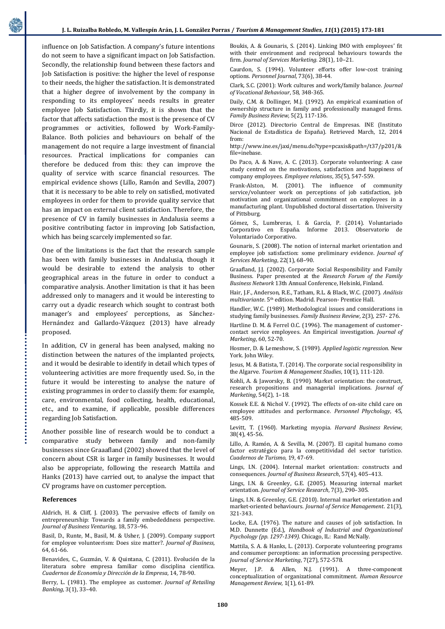influence on Job Satisfaction. A company's future intentions do not seem to have a significant impact on Job Satisfaction. Secondly, the relationship found between these factors and Job Satisfaction is positive: the higher the level of response to their needs, the higher the satisfaction. It is demonstrated that a higher degree of involvement by the company in responding to its employees' needs results in greater employee Job Satisfaction. Thirdly, it is shown that the factor that affects satisfaction the most is the presence of CV programmes or activities, followed by Work-Family-Balance. Both policies and behaviours on behalf of the management do not require a large investment of financial resources. Practical implications for companies can therefore be deduced from this: they can improve the quality of service with scarce financial resources. The empirical evidence shows (Lillo, Ramón and Sevilla, 2007) that it is necessary to be able to rely on satisfied, motivated employees in order for them to provide quality service that has an impact on external client satisfaction. Therefore, the presence of CV in family businesses in Andalusia seems a positive contributing factor in improving Job Satisfaction, which has being scarcely implemented so far.

One of the limitations is the fact that the research sample has been with family businesses in Andalusia, though it would be desirable to extend the analysis to other geographical areas in the future in order to conduct a comparative analysis. Another limitation is that it has been addressed only to managers and it would be interesting to carry out a dyadic research which sought to contrast both manager's and employees' perceptions, as Sánchez-Hernández and Gallardo-Vázquez (2013) have already proposed.

In addition, CV in general has been analysed, making no distinction between the natures of the implanted projects, and it would be desirable to identify in detail which types of volunteering activities are more frequently used. So, in the future it would be interesting to analyse the nature of existing programmes in order to classify them: for example, care, environmental, food collecting, health, educational, etc., and to examine, if applicable, possible differences regarding Job Satisfaction.

Another possible line of research would be to conduct a comparative study between family and non-family businesses since Graaafland (2002) showed that the level of concern about CSR is larger in family businesses. It would also be appropriate, following the research Mattila and Hanks (2013) have carried out, to analyse the impact that CV programs have on customer perception.

#### **References**

Aldrich, H. & Cliff, J. (2003). The pervasive effects of family on entrepreneurship: Towards a family embededdness perspective. *Journal of Business Venturing*, 18, 573–96.

Basil, D., Runte, M., Basil, M. & Usher, J. (2009). Company support for employee volunteerism: Does size matter?. *Journal of Business,* 64, 61-66.

Benavides, C., Guzmán, V. & Quintana, C. (2011). Evolución de la literatura sobre empresa familiar como disciplina científica. *Cuadernos de Economía y Dirección de la Empresa*, 14, 78-90.

Berry, L. (1981). The employee as customer. *Journal of Retailing Banking*, 3(1), 33–40.

Boukis, A. & Gounaris, S. (2014). Linking IMO with employees' fit with their environment and reciprocal behaviours towards the firm*. Journal of Services Marketing.* 28(1), 10–21.

Caurdon, S. (1994). Volunteer efforts offer low-cost training options. *Personnel Journal*, 73(6), 38-44.

Clark, S.C. (2001): Work cultures and work/family balance. *Journal of Vocational Behaviour*, 58, 348-365.

Daily, C.M. & Dollinger, M.J. (1992). An empirical examination of ownership structure in family and professionally managed firms. *Family Business Review,* 5(2), 117-136.

Dirce (2012). Directorio Central de Empresas. INE (Instituto Nacional de Estadística de España). Retrieved March, 12, 2014 from:

[http://www.ine.es/jaxi/menu.do?type=pcaxis&path=/t37/p201/&](http://www.ine.es/jaxi/menu.do?type=pcaxis&path=/t37/p201/&file=inebase) [file=inebase.](http://www.ine.es/jaxi/menu.do?type=pcaxis&path=/t37/p201/&file=inebase)

Do Paco, A. & Nave, A. C. (2013). Corporate volunteering: A case study centred on the motivations, satisfaction and happiness of company employees. *Employee relations*, 35(5), 547-559.

Frank-Alston, M. (2001). The influence of community service/volunteer work on perceptions of job satisfaction, job motivation and organizational commitment on employees in a manufacturing plant. Unpublished doctoral dissertation. University of Pittsburg.

Gómez, S., Lumbreras, I. & García, P. (2014). Voluntariado Corporativo en España. Informe 2013. Observatorio de Voluntariado Corporativo.

Gounaris, S. (2008). The notion of internal market orientation and employee job satisfaction: some preliminary evidence. *Journal of Services Marketing*, 22(1), 68–90.

Graafland, J.J. (2002). Corporate Social Responsibility and Family Business. Paper presented at the *Research Forum of the Family Business Network* 13th Annual Conference, Helsinki, Finland.

Hair, J.F., Anderson, R.E., Tatham, R.L. & Black, W.C. (2007). *Análisis multivariante*. 5th edition. Madrid. Pearson- Prentice Hall.

Handler, W.C. (1989). Methodological issues and considerations in studying family businesses. *Family Business Review*, 2(3), 257- 276.

Hartline D. M. & Ferrel O.C. (1996). The management of customercontact service employees. An Empirical investigation. *Journal of Marketing*, 60, 52-70.

Hosmer, D. & Lemeshow, S. (1989). *Applied logistic regression*. New York. John Wiley.

Jesus, M. & Batista, T. (2014). The corporate social responsibility in the Algarve. *Tourism & Management Studies*, 10(1), 111-120.

Kohli, A. & Jaworsky, B. (1990). Market orientation: the construct, research propositions and managerial implications. *Journal of Marketing*, 54(2), 1–18.

Kossek E.E. & Nichol V. (1992). The effects of on-site child care on employee attitudes and performance. *Personnel Phychology*, 45, 485-509.

Levitt, T. (1960). Marketing myopia*. Harvard Business Review,* 38(4), 45-56.

Lillo, A. Ramón, A. & Sevilla, M. (2007). El capital humano como factor estratégico para la competitividad del sector turístico. *Cuadernos de Turismo*, 19, 47-69.

Lings, I.N. (2004). Internal market orientation: constructs and consequences. *Journal of Business Research*, 57(4), 405–413.

Lings, I.N. & Greenley, G.E. (2005). Measuring internal market orientation. *Journal of Service Research*, 7(3), 290–305.

Lings, I.N. & Greenley, G.E. (2010). Internal market orientation and market-oriented behaviours. *Journal of Service Management*. 21(3), 321-343.

Locke, E.A. (1976). The nature and causes of job satisfaction. In M.D. Dunnette (Ed.), *Handbook of Industrial and Organizational Psychology (pp. 1297-1349).* Chicago, IL: Rand McNally.

Mattila, S. A. & Hanks, L. (2013). Corporate volunteering programs and consumer perceptions: an information processing perspective. *Journal of Service Marketing*, 7(27), 572-578.

Meyer, J.P. & Allen, N.J. (1991). A three-component conceptualization of organizational commitment. *Human Resource Management Review*, 1(1), 61-89.